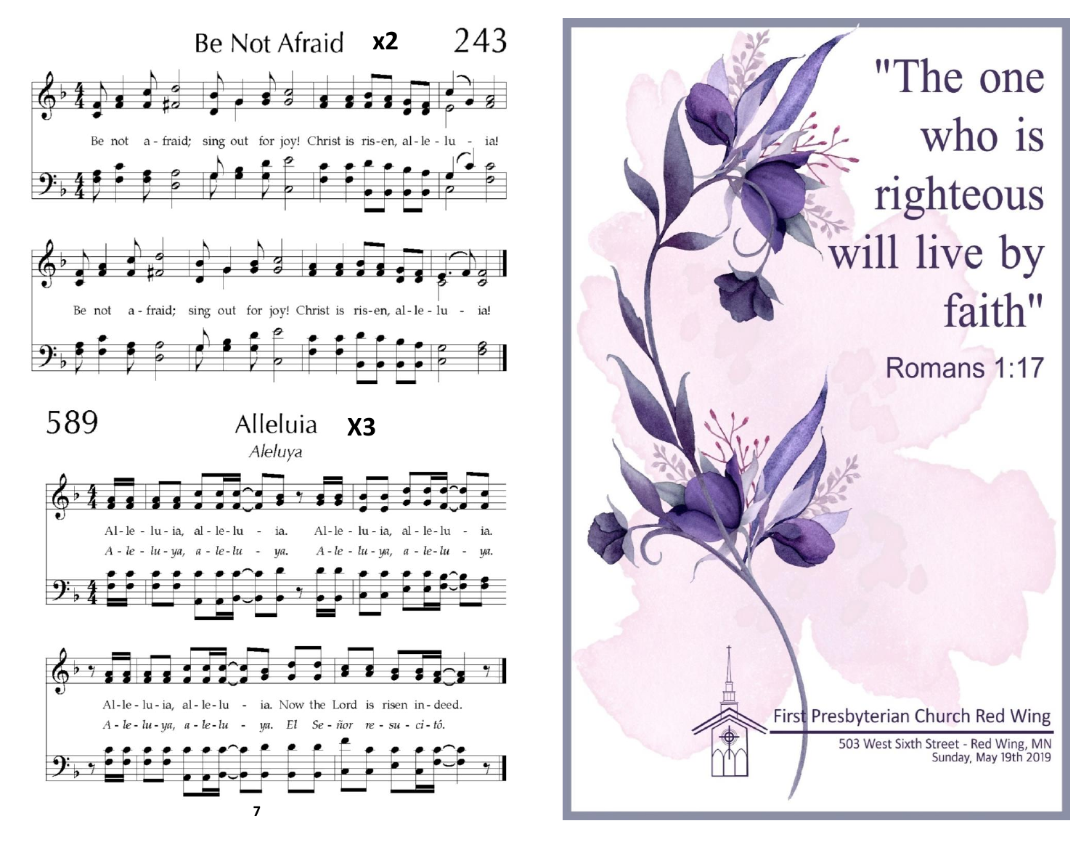

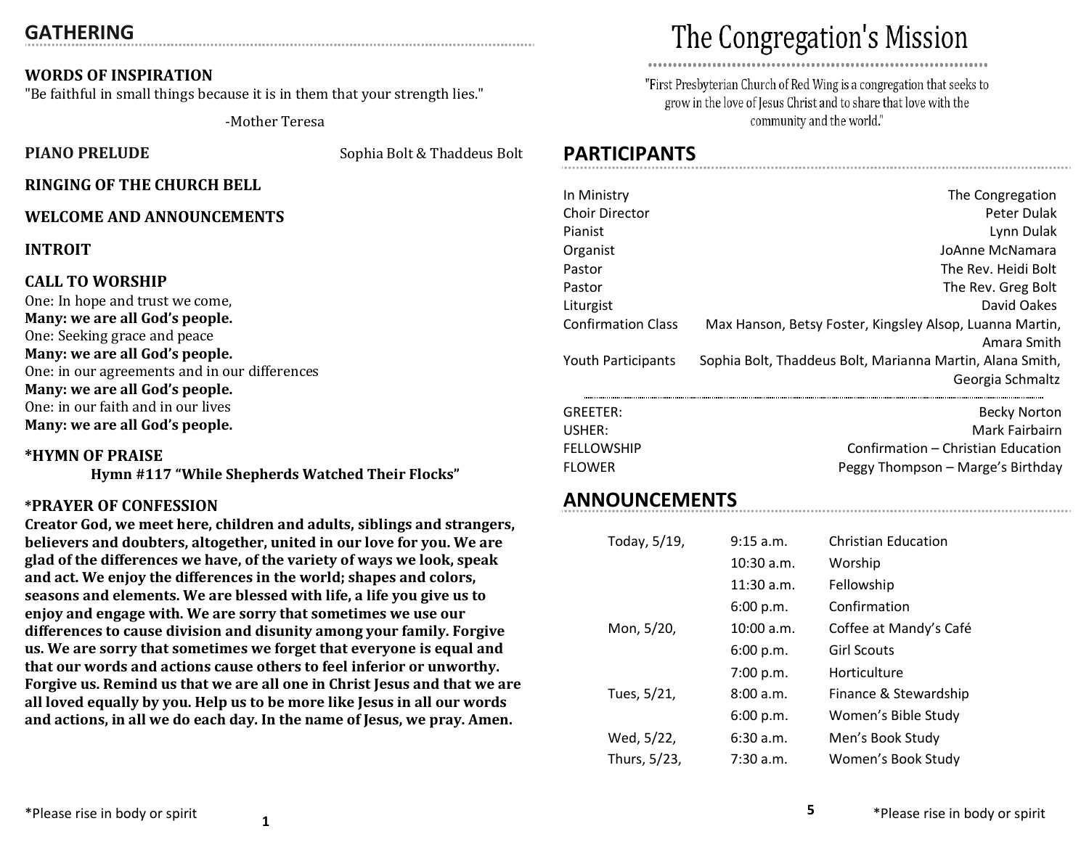# **GATHERING**

# **WORDS OF INSPIRATION**

"Be faithful in small things because it is in them that your strength lies."

-Mother Teresa

**PIANO PRELUDE** Sophia Bolt & Thaddeus Bolt

# **RINGING OF THE CHURCH BELL**

# **WELCOME AND ANNOUNCEMENTS**

**INTROIT**

#### **CALL TO WORSHIP**

One: In hope and trust we come, **Many: we are all God's people.** One: Seeking grace and peace **Many: we are all God's people.** One: in our agreements and in our differences **Many: we are all God's people.** One: in our faith and in our lives **Many: we are all God's people.**

#### **\*HYMN OF PRAISE**

**Hymn #117 "While Shepherds Watched Their Flocks"**

#### **\*PRAYER OF CONFESSION**

**Creator God, we meet here, children and adults, siblings and strangers, believers and doubters, altogether, united in our love for you. We are glad of the differences we have, of the variety of ways we look, speak and act. We enjoy the differences in the world; shapes and colors, seasons and elements. We are blessed with life, a life you give us to enjoy and engage with. We are sorry that sometimes we use our differences to cause division and disunity among your family. Forgive us. We are sorry that sometimes we forget that everyone is equal and that our words and actions cause others to feel inferior or unworthy. Forgive us. Remind us that we are all one in Christ Jesus and that we are all loved equally by you. Help us to be more like Jesus in all our words and actions, in all we do each day. In the name of Jesus, we pray. Amen.**

# The Congregation's Mission

"First Presbyterian Church of Red Wing is a congregation that seeks to grow in the love of Jesus Christ and to share that love with the community and the world."

# **PARTICIPANTS**

| In Ministry               | The Congregation                                          |
|---------------------------|-----------------------------------------------------------|
| <b>Choir Director</b>     | Peter Dulak                                               |
| Pianist                   | Lynn Dulak                                                |
| Organist                  | JoAnne McNamara                                           |
| Pastor                    | The Rev. Heidi Bolt                                       |
| Pastor                    | The Rev. Greg Bolt                                        |
| Liturgist                 | David Oakes                                               |
| <b>Confirmation Class</b> | Max Hanson, Betsy Foster, Kingsley Alsop, Luanna Martin,  |
|                           | Amara Smith                                               |
| Youth Participants        | Sophia Bolt, Thaddeus Bolt, Marianna Martin, Alana Smith, |
|                           | Georgia Schmaltz                                          |
| GREETER:                  | <b>Becky Norton</b>                                       |
| USHER:                    | Mark Fairbairn                                            |
| <b>FELLOWSHIP</b>         | Confirmation – Christian Education                        |
| <b>FLOWER</b>             | Peggy Thompson - Marge's Birthday                         |

# **ANNOUNCEMENTS**

| Today, 5/19, | 9:15 a.m.    | <b>Christian Education</b> |
|--------------|--------------|----------------------------|
|              | $10:30$ a.m. | Worship                    |
|              | 11:30 a.m.   | Fellowship                 |
|              | 6:00 p.m.    | Confirmation               |
| Mon, 5/20,   | 10:00 a.m.   | Coffee at Mandy's Café     |
|              | 6:00 p.m.    | <b>Girl Scouts</b>         |
|              | 7:00 p.m.    | Horticulture               |
| Tues, 5/21,  | 8:00a.m.     | Finance & Stewardship      |
|              | 6:00 p.m.    | Women's Bible Study        |
| Wed, 5/22,   | 6:30a.m.     | Men's Book Study           |
| Thurs, 5/23, | 7:30 a.m.    | Women's Book Study         |

**5**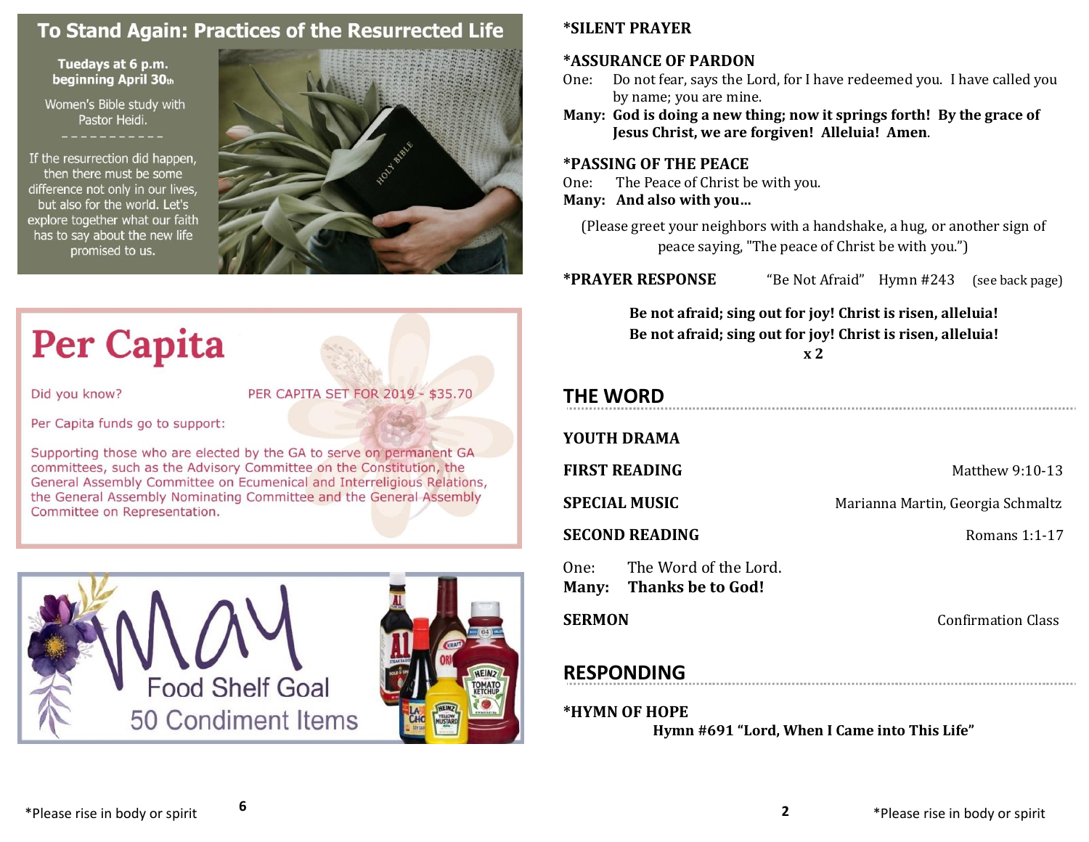# To Stand Again: Practices of the Resurrected Life

#### Tuedays at 6 p.m. beginning April 30th

Women's Bible study with Pastor Heidi.

If the resurrection did happen, then there must be some difference not only in our lives, but also for the world. Let's explore together what our faith has to say about the new life promised to us.



# **Per Capita**

Did you know?

PER CAPITA SET FOR 2019 - \$35.70

Per Capita funds go to support:

Supporting those who are elected by the GA to serve on permanent GA committees, such as the Advisory Committee on the Constitution, the General Assembly Committee on Ecumenical and Interreligious Relations, the General Assembly Nominating Committee and the General Assembly Committee on Representation.



**6**

# **\*SILENT PRAYER**

# **\*ASSURANCE OF PARDON**

- One: Do not fear, says the Lord, for I have redeemed you. I have called you by name; you are mine.
- **Many: God is doing a new thing; now it springs forth! By the grace of Jesus Christ, we are forgiven! Alleluia! Amen**.

# **\*PASSING OF THE PEACE**

One: The Peace of Christ be with you. **Many: And also with you…**

(Please greet your neighbors with a handshake, a hug, or another sign of peace saying, "The peace of Christ be with you.")

**\*PRAYER RESPONSE** "Be Not Afraid" Hymn #243 (see back page)

**Be not afraid; sing out for joy! Christ is risen, alleluia! Be not afraid; sing out for joy! Christ is risen, alleluia!**

**x 2**

# **THE WORD**

# **YOUTH DRAMA**

**FIRST READING** Matthew 9:10-13

**SPECIAL MUSIC** Marianna Martin, Georgia Schmaltz

**SECOND READING**  Romans 1:1-17

One: The Word of the Lord. **Many: Thanks be to God!**

**SERMON** Confirmation Class

# **RESPONDING**

# **\*HYMN OF HOPE**

**Hymn #691 "Lord, When I Came into This Life"**